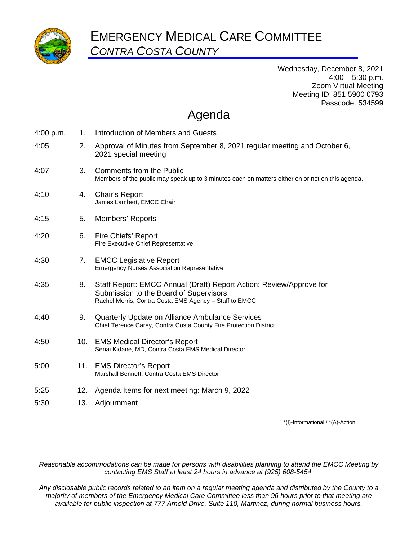

Wednesday, December 8, 2021  $4:00 - 5:30$  p.m. Zoom Virtual Meeting Meeting ID: 851 5900 0793 Passcode: 534599

# Agenda

| 4:00 p.m. | $1_{-}$ | Introduction of Members and Guests                                                                                                                                      |
|-----------|---------|-------------------------------------------------------------------------------------------------------------------------------------------------------------------------|
| 4:05      | 2.      | Approval of Minutes from September 8, 2021 regular meeting and October 6,<br>2021 special meeting                                                                       |
| 4:07      | 3.      | <b>Comments from the Public</b><br>Members of the public may speak up to 3 minutes each on matters either on or not on this agenda.                                     |
| 4:10      | 4.      | Chair's Report<br>James Lambert, EMCC Chair                                                                                                                             |
| 4:15      | 5.      | Members' Reports                                                                                                                                                        |
| 4:20      | 6.      | Fire Chiefs' Report<br>Fire Executive Chief Representative                                                                                                              |
| 4:30      | 7.      | <b>EMCC Legislative Report</b><br><b>Emergency Nurses Association Representative</b>                                                                                    |
| 4:35      | 8.      | Staff Report: EMCC Annual (Draft) Report Action: Review/Approve for<br>Submission to the Board of Supervisors<br>Rachel Morris, Contra Costa EMS Agency - Staff to EMCC |
| 4:40      | 9.      | Quarterly Update on Alliance Ambulance Services<br>Chief Terence Carey, Contra Costa County Fire Protection District                                                    |
| 4:50      | 10.     | <b>EMS Medical Director's Report</b><br>Senai Kidane, MD, Contra Costa EMS Medical Director                                                                             |
| 5:00      | 11.     | <b>EMS Director's Report</b><br>Marshall Bennett, Contra Costa EMS Director                                                                                             |
| 5:25      | 12.     | Agenda Items for next meeting: March 9, 2022                                                                                                                            |
| 5:30      | 13.     | Adjournment                                                                                                                                                             |

\*(I)-Informational / \*(A)-Action

*Reasonable accommodations can be made for persons with disabilities planning to attend the EMCC Meeting by contacting EMS Staff at least 24 hours in advance at (925) 608-5454.* 

*Any disclosable public records related to an item on a regular meeting agenda and distributed by the County to a majority of members of the Emergency Medical Care Committee less than 96 hours prior to that meeting are available for public inspection at 777 Arnold Drive, Suite 110, Martinez, during normal business hours.*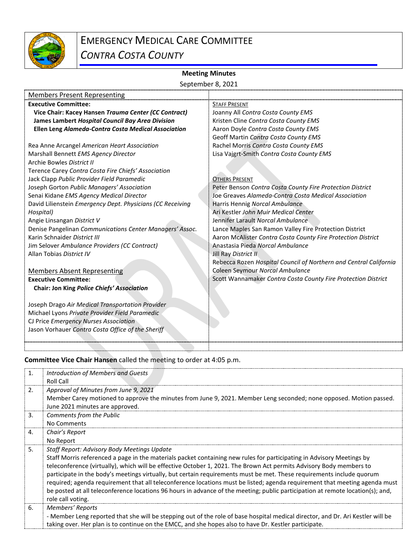

# **Meeting Minutes**

|                                                                                         | September 8, 2021                                                 |  |  |  |  |
|-----------------------------------------------------------------------------------------|-------------------------------------------------------------------|--|--|--|--|
| <b>Members Present Representing</b>                                                     |                                                                   |  |  |  |  |
| <b>Executive Committee:</b>                                                             | <b>STAFF PRESENT</b>                                              |  |  |  |  |
| Vice Chair: Kacey Hansen Trauma Center (CC Contract)                                    | Joanny All Contra Costa County EMS                                |  |  |  |  |
| James Lambert Hospital Council Bay Area Division                                        | Kristen Cline Contra Costa County EMS                             |  |  |  |  |
| Ellen Leng Alameda-Contra Costa Medical Association                                     | Aaron Doyle Contra Costa County EMS                               |  |  |  |  |
|                                                                                         | Geoff Martin Contra Costa County EMS                              |  |  |  |  |
| Rea Anne Arcangel American Heart Association                                            | Rachel Morris Contra Costa County EMS                             |  |  |  |  |
| Marshall Bennett EMS Agency Director                                                    | Lisa Vajgrt-Smith Contra Costa County EMS                         |  |  |  |  |
| Archie Bowles District II                                                               |                                                                   |  |  |  |  |
| Terence Carey Contra Costa Fire Chiefs' Association                                     |                                                                   |  |  |  |  |
| Jack Clapp Public Provider Field Paramedic                                              | <b>OTHERS PRESENT</b>                                             |  |  |  |  |
| Joseph Gorton Public Managers' Association                                              | Peter Benson Contra Costa County Fire Protection District         |  |  |  |  |
| Senai Kidane EMS Agency Medical Director                                                | Joe Greaves Alameda-Contra Costa Medical Association              |  |  |  |  |
| David Lilienstein Emergency Dept. Physicians (CC Receiving                              | Harris Hennig Norcal Ambulance                                    |  |  |  |  |
| Hospital)                                                                               | Ari Kestler John Muir Medical Center                              |  |  |  |  |
| Angie Linsangan District V                                                              | Jennifer Larault Norcal Ambulance                                 |  |  |  |  |
| Denise Pangelinan Communications Center Managers' Assoc.                                | Lance Maples San Ramon Valley Fire Protection District            |  |  |  |  |
| Karin Schnaider District III                                                            | Aaron McAlister Contra Costa County Fire Protection District      |  |  |  |  |
| Jim Selover Ambulance Providers (CC Contract)                                           | Anastasia Pieda Norcal Ambulance                                  |  |  |  |  |
| Allan Tobias District IV                                                                | Jill Ray District II                                              |  |  |  |  |
|                                                                                         | Rebecca Rozen Hospital Council of Northern and Central California |  |  |  |  |
| <b>Members Absent Representing</b>                                                      | Coleen Seymour Norcal Ambulance                                   |  |  |  |  |
| <b>Executive Committee:</b>                                                             | Scott Wannamaker Contra Costa County Fire Protection District     |  |  |  |  |
| Chair: Jon King Police Chiefs' Association                                              |                                                                   |  |  |  |  |
|                                                                                         |                                                                   |  |  |  |  |
| Joseph Drago Air Medical Transportation Provider                                        |                                                                   |  |  |  |  |
| Michael Lyons Private Provider Field Paramedic<br>CJ Price Emergency Nurses Association |                                                                   |  |  |  |  |
| Jason Vorhauer Contra Costa Office of the Sheriff                                       |                                                                   |  |  |  |  |
|                                                                                         |                                                                   |  |  |  |  |
|                                                                                         |                                                                   |  |  |  |  |

## **Committee Vice Chair Hansen** called the meeting to order at 4:05 p.m.

| 1.             | Introduction of Members and Guests                                                                                              |
|----------------|---------------------------------------------------------------------------------------------------------------------------------|
|                | Roll Call                                                                                                                       |
| 2.             | Approval of Minutes from June 9, 2021                                                                                           |
|                | Member Carey motioned to approve the minutes from June 9, 2021. Member Leng seconded; none opposed. Motion passed.              |
|                | June 2021 minutes are approved.                                                                                                 |
| $\mathbf{3}$ . | Comments from the Public                                                                                                        |
|                | No Comments                                                                                                                     |
| 4.             | Chair's Report                                                                                                                  |
|                | No Report                                                                                                                       |
| 5.             | Staff Report: Advisory Body Meetings Update                                                                                     |
|                | Staff Morris referenced a page in the materials packet containing new rules for participating in Advisory Meetings by           |
|                | teleconference (virtually), which will be effective October 1, 2021. The Brown Act permits Advisory Body members to             |
|                | participate in the body's meetings virtually, but certain requirements must be met. These requirements include quorum           |
|                | required; agenda requirement that all teleconference locations must be listed; agenda requirement that meeting agenda must      |
|                | be posted at all teleconference locations 96 hours in advance of the meeting; public participation at remote location(s); and,  |
|                | role call voting.                                                                                                               |
| 6.             | Members' Reports                                                                                                                |
|                | - Member Leng reported that she will be stepping out of the role of base hospital medical director, and Dr. Ari Kestler will be |
|                | taking over. Her plan is to continue on the EMCC, and she hopes also to have Dr. Kestler participate.                           |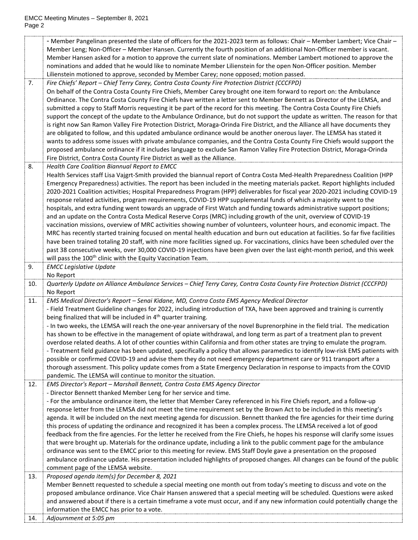|     | - Member Pangelinan presented the slate of officers for the 2021-2023 term as follows: Chair - Member Lambert; Vice Chair -                                                                |
|-----|--------------------------------------------------------------------------------------------------------------------------------------------------------------------------------------------|
|     | Member Leng; Non-Officer - Member Hansen. Currently the fourth position of an additional Non-Officer member is vacant.                                                                     |
|     | Member Hansen asked for a motion to approve the current slate of nominations. Member Lambert motioned to approve the                                                                       |
|     | nominations and added that he would like to nominate Member Lilienstein for the open Non-Officer position. Member                                                                          |
|     | Lilienstein motioned to approve, seconded by Member Carey; none opposed; motion passed.                                                                                                    |
| 7.  | Fire Chiefs' Report - Chief Terry Carey, Contra Costa County Fire Protection District (CCCFPD)                                                                                             |
|     | On behalf of the Contra Costa County Fire Chiefs, Member Carey brought one item forward to report on: the Ambulance                                                                        |
|     | Ordinance. The Contra Costa County Fire Chiefs have written a letter sent to Member Bennett as Director of the LEMSA, and                                                                  |
|     | submitted a copy to Staff Morris requesting it be part of the record for this meeting. The Contra Costa County Fire Chiefs                                                                 |
|     | support the concept of the update to the Ambulance Ordinance, but do not support the update as written. The reason for that                                                                |
|     | is right now San Ramon Valley Fire Protection District, Moraga-Orinda Fire District, and the Alliance all have documents they                                                              |
|     | are obligated to follow, and this updated ambulance ordinance would be another onerous layer. The LEMSA has stated it                                                                      |
|     | wants to address some issues with private ambulance companies, and the Contra Costa County Fire Chiefs would support the                                                                   |
|     | proposed ambulance ordinance if it includes language to exclude San Ramon Valley Fire Protection District, Moraga-Orinda                                                                   |
|     | Fire District, Contra Costa County Fire District as well as the Alliance.                                                                                                                  |
| 8.  | Health Care Coalition Biannual Report to EMCC                                                                                                                                              |
|     | Health Services staff Lisa Vajgrt-Smith provided the biannual report of Contra Costa Med-Health Preparedness Coalition (HPP                                                                |
|     | Emergency Preparedness) activities. The report has been included in the meeting materials packet. Report highlights included                                                               |
|     | 2020-2021 Coalition activities; Hospital Preparedness Program (HPP) deliverables for fiscal year 2020-2021 including COVID-19                                                              |
|     | response related activities, program requirements, COVID-19 HPP supplemental funds of which a majority went to the                                                                         |
|     | hospitals, and extra funding went towards an upgrade of First Watch and funding towards administrative support positions;                                                                  |
|     | and an update on the Contra Costa Medical Reserve Corps (MRC) including growth of the unit, overview of COVID-19                                                                           |
|     | vaccination missions, overview of MRC activities showing number of volunteers, volunteer hours, and economic impact. The                                                                   |
|     | MRC has recently started training focused on mental health education and burn out education at facilities. So far five facilities                                                          |
|     | have been trained totaling 20 staff, with nine more facilities signed up. For vaccinations, clinics have been scheduled over the                                                           |
|     | past 38 consecutive weeks, over 30,000 COVID-19 injections have been given over the last eight-month period, and this week                                                                 |
|     | will pass the 100 <sup>th</sup> clinic with the Equity Vaccination Team.                                                                                                                   |
| 9.  | <b>EMCC Legislative Update</b>                                                                                                                                                             |
|     | No Report                                                                                                                                                                                  |
| 10. | Quarterly Update on Alliance Ambulance Services - Chief Terry Carey, Contra Costa County Fire Protection District (CCCFPD)                                                                 |
|     | No Report                                                                                                                                                                                  |
| 11. | EMS Medical Director's Report - Senai Kidane, MD, Contra Costa EMS Agency Medical Director                                                                                                 |
|     | - Field Treatment Guideline changes for 2022, including introduction of TXA, have been approved and training is currently                                                                  |
|     | being finalized that will be included in 4 <sup>th</sup> quarter training.                                                                                                                 |
|     | - In two weeks, the LEMSA will reach the one-year anniversary of the novel Buprenorphine in the field trial. The medication                                                                |
|     | has shown to be effective in the management of opiate withdrawal, and long term as part of a treatment plan to prevent                                                                     |
|     | overdose related deaths. A lot of other counties within California and from other states are trying to emulate the program.                                                                |
|     | - Treatment field guidance has been updated, specifically a policy that allows paramedics to identify low-risk EMS patients with                                                           |
|     | possible or confirmed COVID-19 and advise them they do not need emergency department care or 911 transport after a                                                                         |
|     | thorough assessment. This policy update comes from a State Emergency Declaration in response to impacts from the COVID<br>pandemic. The LEMSA will continue to monitor the situation.      |
|     | EMS Director's Report - Marshall Bennett, Contra Costa EMS Agency Director                                                                                                                 |
| 12. |                                                                                                                                                                                            |
|     | - Director Bennett thanked Member Leng for her service and time.<br>- For the ambulance ordinance item, the letter that Member Carey referenced in his Fire Chiefs report, and a follow-up |
|     | response letter from the LEMSA did not meet the time requirement set by the Brown Act to be included in this meeting's                                                                     |
|     | agenda. It will be included on the next meeting agenda for discussion. Bennett thanked the fire agencies for their time during                                                             |
|     | this process of updating the ordinance and recognized it has been a complex process. The LEMSA received a lot of good                                                                      |
|     | feedback from the fire agencies. For the letter he received from the Fire Chiefs, he hopes his response will clarify some issues                                                           |
|     | that were brought up. Materials for the ordinance update, including a link to the public comment page for the ambulance                                                                    |
|     | ordinance was sent to the EMCC prior to this meeting for review. EMS Staff Doyle gave a presentation on the proposed                                                                       |
|     | ambulance ordinance update. His presentation included highlights of proposed changes. All changes can be found of the public                                                               |
|     | comment page of the LEMSA website.                                                                                                                                                         |
| 13. | Proposed agenda item(s) for December 8, 2021                                                                                                                                               |
|     | Member Bennett requested to schedule a special meeting one month out from today's meeting to discuss and vote on the                                                                       |
|     | proposed ambulance ordinance. Vice Chair Hansen answered that a special meeting will be scheduled. Questions were asked                                                                    |
|     | and answered about if there is a certain timeframe a vote must occur, and if any new information could potentially change the                                                              |
|     |                                                                                                                                                                                            |
|     |                                                                                                                                                                                            |
| 14. | information the EMCC has prior to a vote.<br>Adjournment at 5:05 pm                                                                                                                        |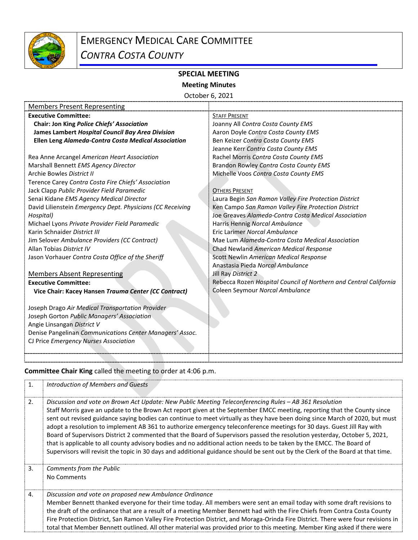

# **SPECIAL MEETING**

## **Meeting Minutes**

October 6, 2021

| <b>Members Present Representing</b>                        |                                                                   |
|------------------------------------------------------------|-------------------------------------------------------------------|
| <b>Executive Committee:</b>                                | <b>STAFF PRESENT</b>                                              |
| Chair: Jon King Police Chiefs' Association                 | Joanny All Contra Costa County EMS                                |
| James Lambert Hospital Council Bay Area Division           | Aaron Doyle Contra Costa County EMS                               |
| Ellen Leng Alameda-Contra Costa Medical Association        | Ben Keizer Contra Costa County EMS                                |
|                                                            | Jeanne Kerr Contra Costa County EMS                               |
| Rea Anne Arcangel American Heart Association               | Rachel Morris Contra Costa County EMS                             |
| Marshall Bennett EMS Agency Director                       | Brandon Rowley Contra Costa County EMS                            |
| Archie Bowles District II                                  | Michelle Voos Contra Costa County EMS                             |
| Terence Carey Contra Costa Fire Chiefs' Association        |                                                                   |
| Jack Clapp Public Provider Field Paramedic                 | <b>OTHERS PRESENT</b>                                             |
| Senai Kidane EMS Agency Medical Director                   | Laura Begin San Ramon Valley Fire Protection District             |
| David Lilienstein Emergency Dept. Physicians (CC Receiving | Ken Campo San Ramon Valley Fire Protection District               |
| Hospital)                                                  | Joe Greaves Alameda-Contra Costa Medical Association              |
| Michael Lyons Private Provider Field Paramedic             | Harris Hennig Norcal Ambulance                                    |
| Karin Schnaider District III                               | Eric Larimer Norcal Ambulance                                     |
| Jim Selover Ambulance Providers (CC Contract)              | Mae Lum Alameda-Contra Costa Medical Association                  |
| Allan Tobias District IV                                   | Chad Newland American Medical Response                            |
| Jason Vorhauer Contra Costa Office of the Sheriff          | Scott Newlin American Medical Response                            |
|                                                            | Anastasia Pieda Norcal Ambulance                                  |
| <b>Members Absent Representing</b>                         | Jill Ray District 2                                               |
| <b>Executive Committee:</b>                                | Rebecca Rozen Hospital Council of Northern and Central California |
| Vice Chair: Kacey Hansen Trauma Center (CC Contract)       | Coleen Seymour Norcal Ambulance                                   |
|                                                            |                                                                   |
| Joseph Drago Air Medical Transportation Provider           |                                                                   |
| Joseph Gorton Public Managers' Association                 |                                                                   |
| Angie Linsangan District V                                 |                                                                   |
| Denise Pangelinan Communications Center Managers' Assoc.   |                                                                   |
| CJ Price Emergency Nurses Association                      |                                                                   |
|                                                            |                                                                   |
|                                                            |                                                                   |

# **Committee Chair King** called the meeting to order at 4:06 p.m.

| 1. | Introduction of Members and Guests                                                                                                                                                                                                                                                                                                                                                                                                                                                                                                                                                                                                                                                                                                                                                                                                                                                     |
|----|----------------------------------------------------------------------------------------------------------------------------------------------------------------------------------------------------------------------------------------------------------------------------------------------------------------------------------------------------------------------------------------------------------------------------------------------------------------------------------------------------------------------------------------------------------------------------------------------------------------------------------------------------------------------------------------------------------------------------------------------------------------------------------------------------------------------------------------------------------------------------------------|
| 2. | Discussion and vote on Brown Act Update: New Public Meeting Teleconferencing Rules - AB 361 Resolution<br>Staff Morris gave an update to the Brown Act report given at the September EMCC meeting, reporting that the County since<br>sent out revised guidance saying bodies can continue to meet virtually as they have been doing since March of 2020, but must<br>adopt a resolution to implement AB 361 to authorize emergency teleconference meetings for 30 days. Guest Jill Ray with<br>Board of Supervisors District 2 commented that the Board of Supervisors passed the resolution yesterday, October 5, 2021,<br>that is applicable to all county advisory bodies and no additional action needs to be taken by the EMCC. The Board of<br>Supervisors will revisit the topic in 30 days and additional guidance should be sent out by the Clerk of the Board at that time. |
| 3. | Comments from the Public<br>No Comments                                                                                                                                                                                                                                                                                                                                                                                                                                                                                                                                                                                                                                                                                                                                                                                                                                                |
| 4. | Discussion and vote on proposed new Ambulance Ordinance<br>Member Bennett thanked everyone for their time today. All members were sent an email today with some draft revisions to<br>the draft of the ordinance that are a result of a meeting Member Bennett had with the Fire Chiefs from Contra Costa County<br>Fire Protection District, San Ramon Valley Fire Protection District, and Moraga-Orinda Fire District. There were four revisions in<br>total that Member Bennett outlined. All other material was provided prior to this meeting. Member King asked if there were                                                                                                                                                                                                                                                                                                   |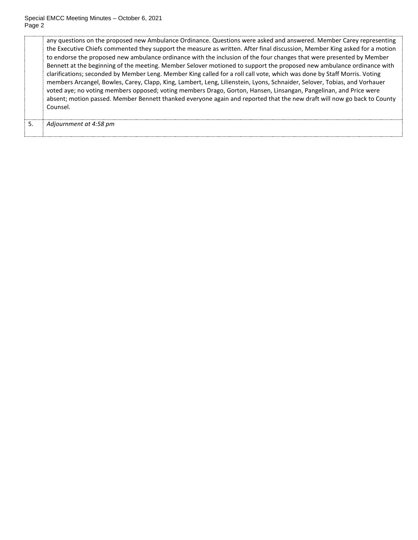any questions on the proposed new Ambulance Ordinance. Questions were asked and answered. Member Carey representing the Executive Chiefs commented they support the measure as written. After final discussion, Member King asked for a motion to endorse the proposed new ambulance ordinance with the inclusion of the four changes that were presented by Member Bennett at the beginning of the meeting. Member Selover motioned to support the proposed new ambulance ordinance with clarifications; seconded by Member Leng. Member King called for a roll call vote, which was done by Staff Morris. Voting members Arcangel, Bowles, Carey, Clapp, King, Lambert, Leng, Lilienstein, Lyons, Schnaider, Selover, Tobias, and Vorhauer voted aye; no voting members opposed; voting members Drago, Gorton, Hansen, Linsangan, Pangelinan, and Price were absent; motion passed. Member Bennett thanked everyone again and reported that the new draft will now go back to County Counsel.

5. *Adjournment at 4:58 pm*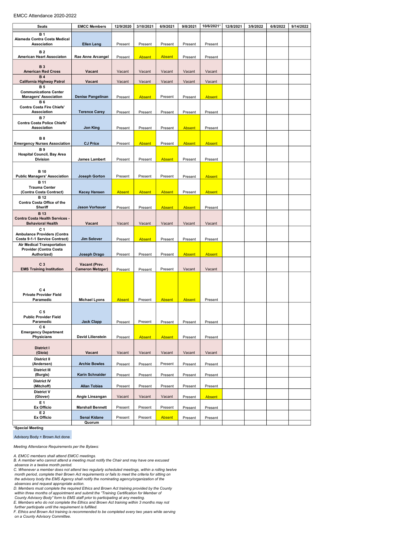#### EMCC Attendance 2020-2022

| Seats                                                                                  | <b>EMCC Members</b>                      | 12/9/2020          | 3/10/2021          | 6/9/2021           | 9/8/2021           | 10/6/2021*         | 12/8/2021 | 3/9/2022 | 6/8/2022 | 9/14/2022 |
|----------------------------------------------------------------------------------------|------------------------------------------|--------------------|--------------------|--------------------|--------------------|--------------------|-----------|----------|----------|-----------|
| <b>B1</b><br>Alameda Contra Costa Medical<br>Association                               | <b>Ellen Leng</b>                        | Present            | Present            | Present            | Present            | Present            |           |          |          |           |
| <b>B2</b>                                                                              |                                          |                    |                    |                    |                    |                    |           |          |          |           |
| American Heart Associaton                                                              | Rae Anne Arcangel                        | Present            | <b>Absent</b>      | <b>Absent</b>      | Present            | Present            |           |          |          |           |
| <b>B3</b><br><b>American Red Cross</b><br><b>B4</b>                                    | Vacant                                   | Vacant             | Vacant             | Vacant             | Vacant             | Vacant             |           |          |          |           |
| California Highway Patrol                                                              | Vacant                                   | Vacant             | Vacant             | Vacant             | Vacant             | Vacant             |           |          |          |           |
| <b>B5</b><br><b>Communications Center</b><br><b>Managers' Association</b><br><b>B6</b> | Denise Pangelinan                        | Present            | <b>Absent</b>      | Present            | Present            | <b>Absent</b>      |           |          |          |           |
| Contra Costa Fire Chiefs'<br><b>Association</b>                                        | <b>Terence Carey</b>                     | Present            | Present            | Present            | Present            | Present            |           |          |          |           |
| <b>B7</b><br><b>Contra Costa Police Chiefs'</b><br>Association                         | Jon King                                 | Present            | Present            | Present            | <b>Absent</b>      | Present            |           |          |          |           |
| <b>B8</b><br><b>Emergency Nurses Association</b>                                       | <b>CJ Price</b>                          | Present            | <b>Absent</b>      | Present            | <b>Absent</b>      | <b>Absent</b>      |           |          |          |           |
| <b>B</b> <sub>9</sub>                                                                  |                                          |                    |                    |                    |                    |                    |           |          |          |           |
| Hospital Council, Bay Area<br><b>Division</b>                                          | James Lambert                            | Present            | Present            | <b>Absent</b>      | Present            | Present            |           |          |          |           |
| <b>B</b> 10                                                                            |                                          |                    |                    |                    |                    |                    |           |          |          |           |
| <b>Public Managers' Association</b>                                                    | <b>Joseph Gorton</b>                     | Present            | Present            | Present            | Present            | <b>Absent</b>      |           |          |          |           |
| <b>B</b> 11<br><b>Trauma Center</b>                                                    |                                          |                    |                    |                    |                    |                    |           |          |          |           |
| (Contra Costa Contract)<br><b>B</b> 12                                                 | <b>Kacey Hansen</b>                      | <b>Absent</b>      | <b>Absent</b>      | <b>Absent</b>      | Present            | <b>Absent</b>      |           |          |          |           |
| Contra Costa Office of the<br>Sheriff                                                  | <b>Jason Vorhauer</b>                    | Present            | Present            | <b>Absent</b>      | <b>Absent</b>      | Present            |           |          |          |           |
| <b>B</b> 13<br>Contra Costa Health Services -<br><b>Behavioral Health</b>              | Vacant                                   | Vacant             | Vacant             | Vacant             | Vacant             | Vacant             |           |          |          |           |
| C <sub>1</sub><br>Ambulance Providers (Contra<br>Costa 9-1-1 Service Contract)         | Jim Selover                              | Present            | <b>Absent</b>      | Present            | Present            | Present            |           |          |          |           |
| <b>Air Medical Transportation</b><br><b>Provider (Contra Costa</b><br>Authorized)      | Joseph Drago                             | Present            | Present            | Present            | <b>Absent</b>      | <b>Absent</b>      |           |          |          |           |
| C <sub>3</sub><br><b>EMS Training Institution</b>                                      | Vacant (Prev.<br><b>Cameron Metzger)</b> | Present            | Present            | Present            | Vacant             | Vacant             |           |          |          |           |
| C <sub>4</sub><br><b>Private Provider Field</b><br>Paramedic                           | <b>Michael Lyons</b>                     | <b>Absent</b>      | Present            | <b>Absent</b>      | <b>Absent</b>      | Present            |           |          |          |           |
| C 5<br><b>Public Provider Field</b><br>Paramedic                                       | <b>Jack Clapp</b>                        | Present            | Present            | Present            | Present            | Present            |           |          |          |           |
| C 6<br><b>Emergency Department</b><br>Physicians                                       | <b>David Lilienstein</b>                 | Present            | <b>Absent</b>      | <b>Absent</b>      | Present            | Present            |           |          |          |           |
| <b>District I</b><br>(Gioia)                                                           | Vacant                                   | Vacant             | Vacant             | Vacant             | Vacant             | Vacant             |           |          |          |           |
| <b>District II</b>                                                                     |                                          |                    |                    |                    |                    |                    |           |          |          |           |
| (Andersen)<br><b>District III</b><br>(Burgis)                                          | <b>Archie Bowles</b><br>Karin Schnaider  | Present<br>Present | Present<br>Present | Present<br>Present | Present<br>Present | Present<br>Present |           |          |          |           |
| <b>District IV</b>                                                                     |                                          |                    |                    |                    |                    |                    |           |          |          |           |
| (Mitchoff)<br><b>District V</b>                                                        | <b>Allan Tobias</b>                      | Present            | Present            | Present            | Present            | Present            |           |          |          |           |
| (Glover)<br>E 1                                                                        | Angie Linsangan                          | Vacant             | Vacant             | Vacant             | Present            | <b>Absent</b>      |           |          |          |           |
| Ex Officio<br>E 2                                                                      | <b>Marshall Bennett</b>                  | Present            | Present            | Present            | Present            | Present            |           |          |          |           |
| Ex Officio                                                                             | Senai Kidane<br>Quorum                   | Present            | Present            | <b>Absent</b>      | Present            | Present            |           |          |          |           |

\*Special Meeting

Advisory Body + Brown Act done

Meeting Attendance Requirements per the Bylaws:

A. EMCC members shall attend EMCC meetings. B. A member who cannot attend a meeting must notify the Chair and may have one excused absence in a twelve month period. C. Whenever a member does not attend two regularly scheduled meetings, within a rolling twelve

month period, complete their Brown Act requirements or fails to meet the criteria for sitting on the advisory body the EMS Agency shall notify the nominating agency/organization of the

absences and request appropriate action.<br>D. Members must complete the required Ethics and Brown Act training provided by the County<br>within three months of appointment and submit the "Training Certification for Member of<br>Co

further participate until the requirement is fulfilled.

F. Ethics and Brown Act training is recommended to be completed every two years while serving on a County Advisory Committee.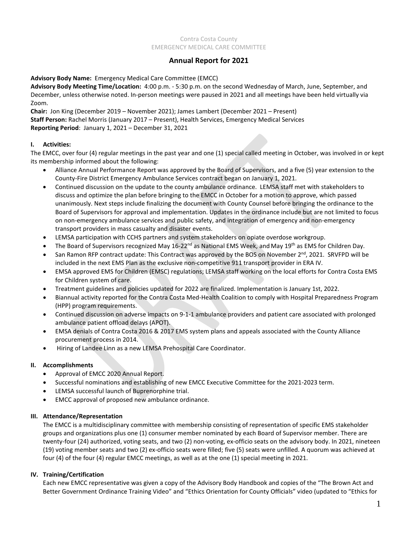#### Contra Costa County EMERGENCY MEDICAL CARE COMMITTEE

## **Annual Report for 2021**

#### **Advisory Body Name:** Emergency Medical Care Committee (EMCC)

**Advisory Body Meeting Time/Location:** 4:00 p.m. - 5:30 p.m. on the second Wednesday of March, June, September, and December, unless otherwise noted. In-person meetings were paused in 2021 and all meetings have been held virtually via Zoom.

**Chair:** Jon King (December 2019 – November 2021); James Lambert (December 2021 – Present) **Staff Person:** Rachel Morris (January 2017 – Present), Health Services, Emergency Medical Services **Reporting Period**: January 1, 2021 – December 31, 2021

#### **I. Activities:**

The EMCC, over four (4) regular meetings in the past year and one (1) special called meeting in October, was involved in or kept its membership informed about the following:

- Alliance Annual Performance Report was approved by the Board of Supervisors, and a five (5) year extension to the County-Fire District Emergency Ambulance Services contract began on January 1, 2021.
- Continued discussion on the update to the county ambulance ordinance. LEMSA staff met with stakeholders to discuss and optimize the plan before bringing to the EMCC in October for a motion to approve, which passed unanimously. Next steps include finalizing the document with County Counsel before bringing the ordinance to the Board of Supervisors for approval and implementation. Updates in the ordinance include but are not limited to focus on non-emergency ambulance services and public safety, and integration of emergency and non-emergency transport providers in mass casualty and disaster events.
- LEMSA participation with CCHS partners and system stakeholders on opiate overdose workgroup.
- The Board of Supervisors recognized May 16-22<sup>nd</sup> as National EMS Week, and May 19<sup>th</sup> as EMS for Children Day.
- San Ramon RFP contract update: This Contract was approved by the BOS on November 2<sup>nd</sup>, 2021. SRVFPD will be included in the next EMS Plan as the exclusive non-competitive 911 transport provider in ERA IV.
- EMSA approved EMS for Children (EMSC) regulations; LEMSA staff working on the local efforts for Contra Costa EMS for Children system of care.
- Treatment guidelines and policies updated for 2022 are finalized. Implementation is January 1st, 2022.
- Biannual activity reported for the Contra Costa Med-Health Coalition to comply with Hospital Preparedness Program (HPP) program requirements.
- Continued discussion on adverse impacts on 9-1-1 ambulance providers and patient care associated with prolonged ambulance patient offload delays (APOT).
- EMSA denials of Contra Costa 2016 & 2017 EMS system plans and appeals associated with the County Alliance procurement process in 2014.
- Hiring of Landee Linn as a new LEMSA Prehospital Care Coordinator.

#### **II. Accomplishments**

- Approval of EMCC 2020 Annual Report.
- Successful nominations and establishing of new EMCC Executive Committee for the 2021-2023 term.
- LEMSA successful launch of Buprenorphine trial.
- EMCC approval of proposed new ambulance ordinance.

#### **III. Attendance/Representation**

The EMCC is a multidisciplinary committee with membership consisting of representation of specific EMS stakeholder groups and organizations plus one (1) consumer member nominated by each Board of Supervisor member. There are twenty-four (24) authorized, voting seats, and two (2) non-voting, ex-officio seats on the advisory body. In 2021, nineteen (19) voting member seats and two (2) ex-officio seats were filled; five (5) seats were unfilled. A quorum was achieved at four (4) of the four (4) regular EMCC meetings, as well as at the one (1) special meeting in 2021.

#### **IV. Training/Certification**

Each new EMCC representative was given a copy of the Advisory Body Handbook and copies of the "The Brown Act and Better Government Ordinance Training Video" and "Ethics Orientation for County Officials" video (updated to "Ethics for